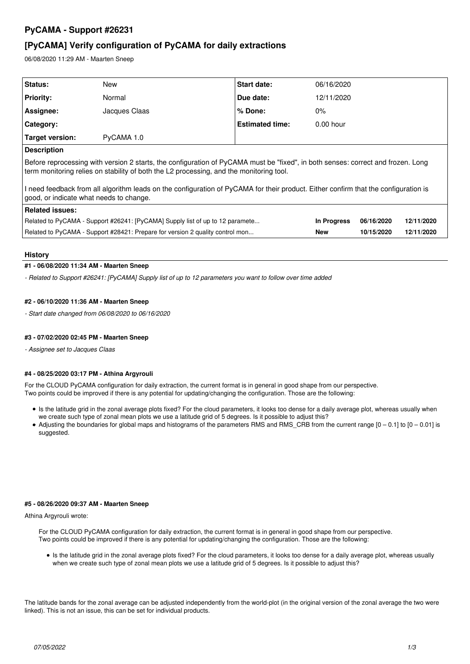# **PyCAMA - Support #26231**

# **[PyCAMA] Verify configuration of PyCAMA for daily extractions**

06/08/2020 11:29 AM - Maarten Sneep

| Status:                                                                                                                                                                                                                     | New           | Start date:            | 06/16/2020  |            |            |
|-----------------------------------------------------------------------------------------------------------------------------------------------------------------------------------------------------------------------------|---------------|------------------------|-------------|------------|------------|
| <b>Priority:</b>                                                                                                                                                                                                            | Normal        | Due date:              | 12/11/2020  |            |            |
| Assignee:                                                                                                                                                                                                                   | Jacques Claas | % Done:                | $0\%$       |            |            |
| Category:                                                                                                                                                                                                                   |               | <b>Estimated time:</b> | $0.00$ hour |            |            |
| Target version:                                                                                                                                                                                                             | PyCAMA 1.0    |                        |             |            |            |
| <b>Description</b>                                                                                                                                                                                                          |               |                        |             |            |            |
| Before reprocessing with version 2 starts, the configuration of PyCAMA must be "fixed", in both senses: correct and frozen. Long<br>term monitoring relies on stability of both the L2 processing, and the monitoring tool. |               |                        |             |            |            |
| I need feedback from all algorithm leads on the configuration of PyCAMA for their product. Either confirm that the configuration is<br>good, or indicate what needs to change.                                              |               |                        |             |            |            |
| Related issues:                                                                                                                                                                                                             |               |                        |             |            |            |
| Related to PyCAMA - Support #26241: [PyCAMA] Supply list of up to 12 paramete                                                                                                                                               |               |                        | In Progress | 06/16/2020 | 12/11/2020 |
| Related to PyCAMA - Support #28421: Prepare for version 2 quality control mon                                                                                                                                               |               |                        | <b>New</b>  | 10/15/2020 | 12/11/2020 |
|                                                                                                                                                                                                                             |               |                        |             |            |            |

# **History**

## **#1 - 06/08/2020 11:34 AM - Maarten Sneep**

*- Related to Support #26241: [PyCAMA] Supply list of up to 12 parameters you want to follow over time added*

# **#2 - 06/10/2020 11:36 AM - Maarten Sneep**

*- Start date changed from 06/08/2020 to 06/16/2020*

## **#3 - 07/02/2020 02:45 PM - Maarten Sneep**

*- Assignee set to Jacques Claas*

## **#4 - 08/25/2020 03:17 PM - Athina Argyrouli**

For the CLOUD PyCAMA configuration for daily extraction, the current format is in general in good shape from our perspective. Two points could be improved if there is any potential for updating/changing the configuration. Those are the following:

- Is the latitude grid in the zonal average plots fixed? For the cloud parameters, it looks too dense for a daily average plot, whereas usually when we create such type of zonal mean plots we use a latitude grid of 5 degrees. Is it possible to adjust this?
- Adjusting the boundaries for global maps and histograms of the parameters RMS and RMS\_CRB from the current range  $[0 0.1]$  to  $[0 0.01]$  is suggested.

#### **#5 - 08/26/2020 09:37 AM - Maarten Sneep**

#### Athina Argyrouli wrote:

For the CLOUD PyCAMA configuration for daily extraction, the current format is in general in good shape from our perspective. Two points could be improved if there is any potential for updating/changing the configuration. Those are the following:

• Is the latitude grid in the zonal average plots fixed? For the cloud parameters, it looks too dense for a daily average plot, whereas usually when we create such type of zonal mean plots we use a latitude grid of 5 degrees. Is it possible to adjust this?

The latitude bands for the zonal average can be adjusted independently from the world-plot (in the original version of the zonal average the two were linked). This is not an issue, this can be set for individual products.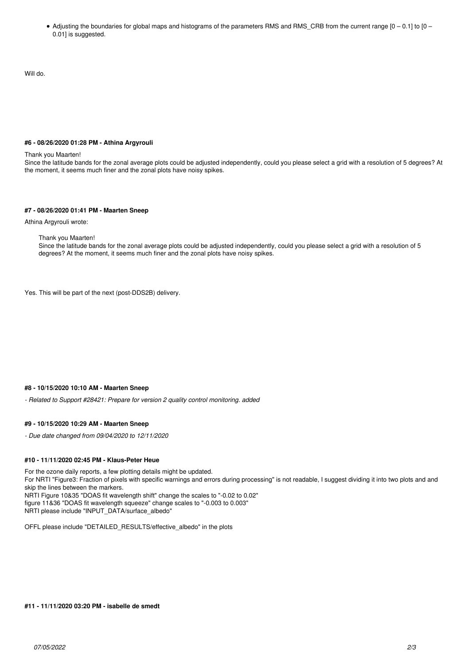Adjusting the boundaries for global maps and histograms of the parameters RMS and RMS\_CRB from the current range [0 – 0.1] to [0 – 0.01] is suggested.

Will do.

# **#6 - 08/26/2020 01:28 PM - Athina Argyrouli**

#### Thank you Maarten!

Since the latitude bands for the zonal average plots could be adjusted independently, could you please select a grid with a resolution of 5 degrees? At the moment, it seems much finer and the zonal plots have noisy spikes.

#### **#7 - 08/26/2020 01:41 PM - Maarten Sneep**

Athina Argyrouli wrote:

Thank you Maarten!

Since the latitude bands for the zonal average plots could be adjusted independently, could you please select a grid with a resolution of 5 degrees? At the moment, it seems much finer and the zonal plots have noisy spikes.

Yes. This will be part of the next (post-DDS2B) delivery.

# **#8 - 10/15/2020 10:10 AM - Maarten Sneep**

*- Related to Support #28421: Prepare for version 2 quality control monitoring. added*

#### **#9 - 10/15/2020 10:29 AM - Maarten Sneep**

*- Due date changed from 09/04/2020 to 12/11/2020*

#### **#10 - 11/11/2020 02:45 PM - Klaus-Peter Heue**

For the ozone daily reports, a few plotting details might be updated. For NRTI "Figure3: Fraction of pixels with specific warnings and errors during processing" is not readable, I suggest dividing it into two plots and and skip the lines between the markers. NRTI Figure 10&35 "DOAS fit wavelength shift" change the scales to "-0.02 to 0.02" figure 11&36 "DOAS fit wavelength squeeze" change scales to "-0.003 to 0.003" NRTI please include "INPUT\_DATA/surface\_albedo"

OFFL please include "DETAILED\_RESULTS/effective\_albedo" in the plots

#### **#11 - 11/11/2020 03:20 PM - isabelle de smedt**